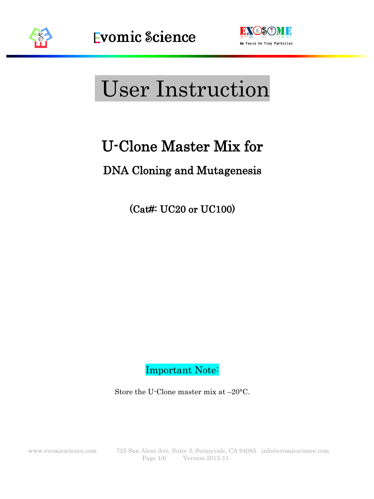



# User Instruction

## U-Clone Master Mix for

### DNA Cloning and Mutagenesis

(Cat#: UC20 or UC100)

Important Note:

Store the U-Clone master mix at –20°C.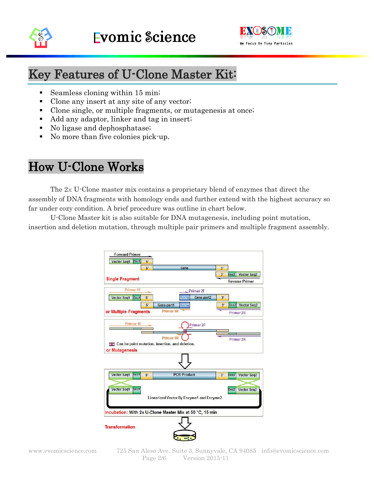



#### Key Features of U-Clone Master Kit:

- Seamless cloning within 15 min;
- Clone any insert at any site of any vector;
- Clone single, or multiple fragments, or mutagenesis at once;
- Add any adaptor, linker and tag in insert;
- No ligase and dephosphatase;
- No more than five colonies pick-up.

#### How U-Clone Works

The 2x U-Clone master mix contains a proprietary blend of enzymes that direct the assembly of DNA fragments with homology ends and further extend with the highest accuracy so far under cozy condition. A brief procedure was outline in chart below.

U-Clone Master kit is also suitable for DNA mutagenesis, including point mutation, insertion and deletion mutation, through multiple pair primers and multiple fragment assembly.



www.evomicscience.com 725 San Aleso Ave. Suite 3, Sunnyvale, CA 94085 info@evomicscience.com Page 2/6 Version 2015-11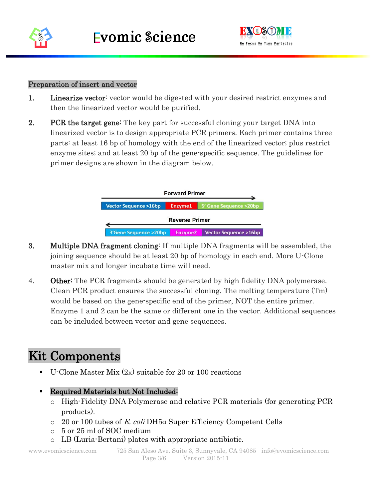



#### Preparation of insert and vector

- 1. Linearize vector: vector would be digested with your desired restrict enzymes and then the linearized vector would be purified.
- 2. PCR the target gene: The key part for successful cloning your target DNA into linearized vector is to design appropriate PCR primers. Each primer contains three parts: at least 16 bp of homology with the end of the linearized vector; plus restrict enzyme sites; and at least 20 bp of the gene-specific sequence. The guidelines for primer designs are shown in the diagram below.



- 3. Multiple DNA fragment cloning: If multiple DNA fragments will be assembled, the joining sequence should be at least 20 bp of homology in each end. More U-Clone master mix and longer incubate time will need.
- 4. Other: The PCR fragments should be generated by high fidelity DNA polymerase. Clean PCR product ensures the successful cloning. The melting temperature (Tm) would be based on the gene-specific end of the primer, NOT the entire primer. Enzyme 1 and 2 can be the same or different one in the vector. Additional sequences can be included between vector and gene sequences.

### Kit Components

- U-Clone Master Mix  $(2x)$  suitable for 20 or 100 reactions
- Required Materials but Not Included:
	- o High-Fidelity DNA Polymerase and relative PCR materials (for generating PCR products).
	- o 20 or 100 tubes of E. coli DH5α Super Efficiency Competent Cells
	- o 5 or 25 ml of SOC medium
	- o LB (Luria-Bertani) plates with appropriate antibiotic.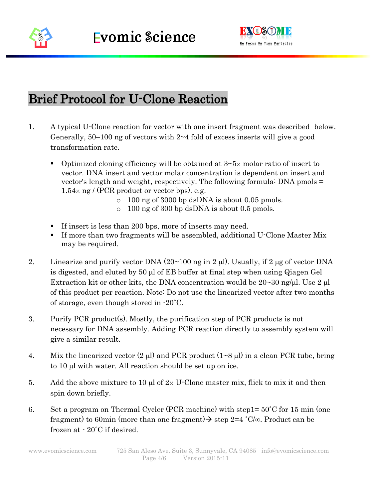



#### Brief Protocol for U-Clone Reaction

- 1. A typical U-Clone reaction for vector with one insert fragment was described below. Generally,  $50-100$  ng of vectors with  $2-4$  fold of excess inserts will give a good transformation rate.
	- Optimized cloning efficiency will be obtained at  $3\nu$ -5x molar ratio of insert to vector. DNA insert and vector molar concentration is dependent on insert and vector's length and weight, respectively. The following formula: DNA pmols =  $1.54x$  ng / (PCR product or vector bps). e.g.
		- o 100 ng of 3000 bp dsDNA is about 0.05 pmols.
		- o 100 ng of 300 bp dsDNA is about 0.5 pmols.
	- If insert is less than 200 bps, more of inserts may need.
	- If more than two fragments will be assembled, additional U-Clone Master Mix may be required.
- 2. Linearize and purify vector DNA  $(20~100 \text{ ng in } 2 \text{ µ})$ . Usually, if  $2 \text{ µ}$ g of vector DNA is digested, and eluted by 50 µ of EB buffer at final step when using Qiagen Gel Extraction kit or other kits, the DNA concentration would be  $20~30$  ng/ $\mu$ l. Use  $2 \mu$ l of this product per reaction. Note: Do not use the linearized vector after two months of storage, even though stored in -20˚C.
- 3. Purify PCR product(s). Mostly, the purification step of PCR products is not necessary for DNA assembly. Adding PCR reaction directly to assembly system will give a similar result.
- 4. Mix the linearized vector  $(2 \text{ ul})$  and PCR product  $(1\text{~}8 \text{ ul})$  in a clean PCR tube, bring to 10 µl with water. All reaction should be set up on ice.
- 5. Add the above mixture to 10  $\mu$  of  $2 \times U$ -Clone master mix, flick to mix it and then spin down briefly.
- 6. Set a program on Thermal Cycler (PCR machine) with step1= 50˚C for 15 min (one fragment) to 60min (more than one fragment)  $\rightarrow$  step 2=4 °C/ $\infty$ . Product can be frozen at - 20˚C if desired.